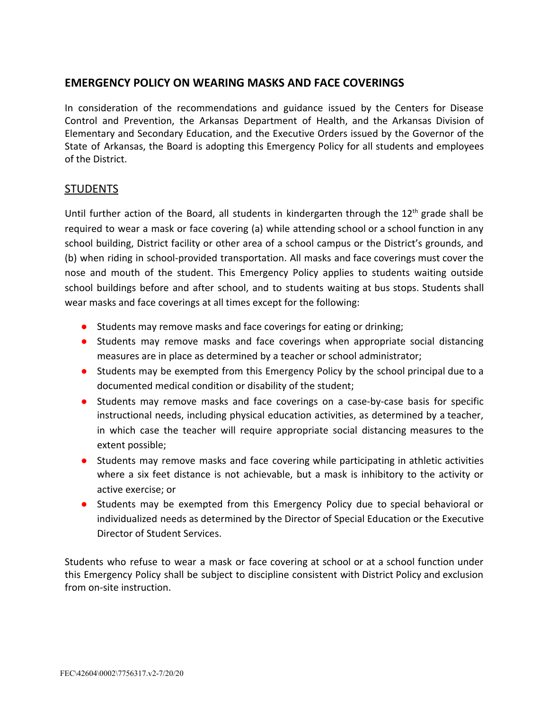## **EMERGENCY POLICY ON WEARING MASKS AND FACE COVERINGS**

In consideration of the recommendations and guidance issued by the Centers for Disease Control and Prevention, the Arkansas Department of Health, and the Arkansas Division of Elementary and Secondary Education, and the Executive Orders issued by the Governor of the State of Arkansas, the Board is adopting this Emergency Policy for all students and employees of the District.

## **STUDENTS**

Until further action of the Board, all students in kindergarten through the  $12<sup>th</sup>$  grade shall be required to wear a mask or face covering (a) while attending school or a school function in any school building, District facility or other area of a school campus or the District's grounds, and (b) when riding in school-provided transportation. All masks and face coverings must cover the nose and mouth of the student. This Emergency Policy applies to students waiting outside school buildings before and after school, and to students waiting at bus stops. Students shall wear masks and face coverings at all times except for the following:

- Students may remove masks and face coverings for eating or drinking;
- Students may remove masks and face coverings when appropriate social distancing measures are in place as determined by a teacher or school administrator;
- Students may be exempted from this Emergency Policy by the school principal due to a documented medical condition or disability of the student;
- Students may remove masks and face coverings on a case-by-case basis for specific instructional needs, including physical education activities, as determined by a teacher, in which case the teacher will require appropriate social distancing measures to the extent possible;
- Students may remove masks and face covering while participating in athletic activities where a six feet distance is not achievable, but a mask is inhibitory to the activity or active exercise; or
- Students may be exempted from this Emergency Policy due to special behavioral or individualized needs as determined by the Director of Special Education or the Executive Director of Student Services.

Students who refuse to wear a mask or face covering at school or at a school function under this Emergency Policy shall be subject to discipline consistent with District Policy and exclusion from on-site instruction.